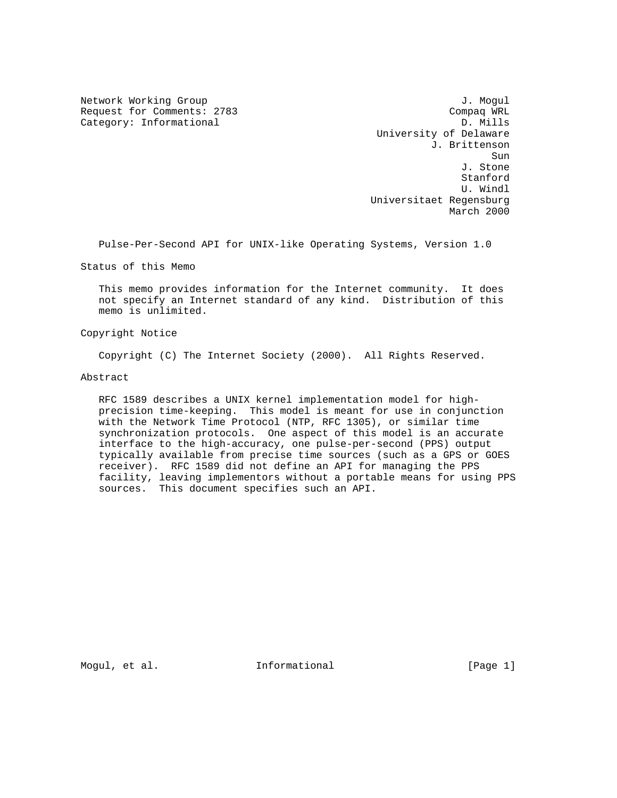Request for Comments: 2783 Compaq WRL Category: Informational Compaq WRL Category: Informational Category: Informational

Network Working Group 3. 2008 3. November 2008 3. November 2008 3. November 2008 3. November 2008 3. November 20 University of Delaware J. Brittenson sun de la construcción de la construcción de la construcción de la construcción de la construcción de la const J. Stone **Stanford** Stanford (1999) and the standard control of the standard standard standard (1999) and the standard of the standard standard (1999) and the standard of the standard (1999) and the standard (1999) and the standard U. Windl Universitaet Regensburg March 2000

Pulse-Per-Second API for UNIX-like Operating Systems, Version 1.0

Status of this Memo

 This memo provides information for the Internet community. It does not specify an Internet standard of any kind. Distribution of this memo is unlimited.

Copyright Notice

Copyright (C) The Internet Society (2000). All Rights Reserved.

Abstract

 RFC 1589 describes a UNIX kernel implementation model for high precision time-keeping. This model is meant for use in conjunction with the Network Time Protocol (NTP, RFC 1305), or similar time synchronization protocols. One aspect of this model is an accurate interface to the high-accuracy, one pulse-per-second (PPS) output typically available from precise time sources (such as a GPS or GOES receiver). RFC 1589 did not define an API for managing the PPS facility, leaving implementors without a portable means for using PPS sources. This document specifies such an API.

Mogul, et al.  $I_n$  Informational  $[Page 1]$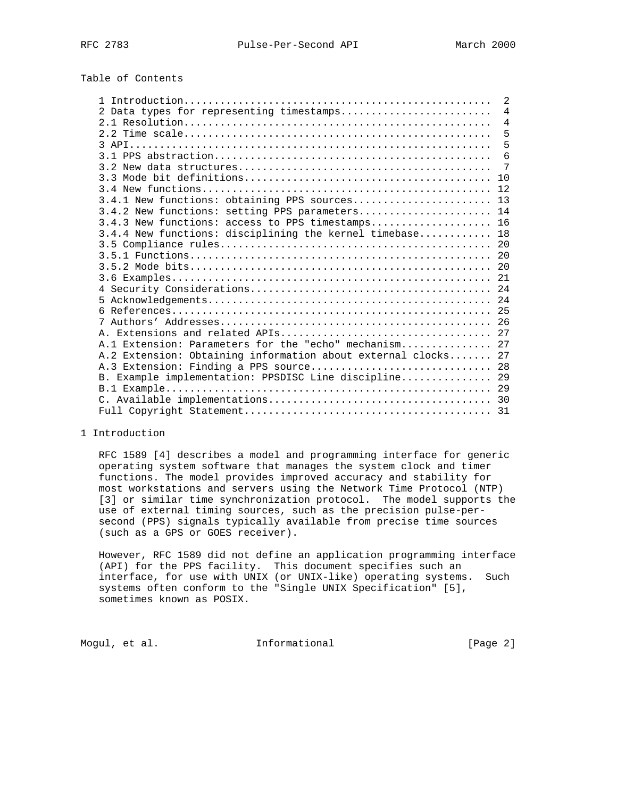# Table of Contents

|                                                               | 2              |
|---------------------------------------------------------------|----------------|
| 2 Data types for representing timestamps                      | $\overline{4}$ |
|                                                               | $\overline{4}$ |
|                                                               | 5              |
|                                                               | 5              |
|                                                               | 6              |
|                                                               | 7              |
|                                                               |                |
|                                                               |                |
| 3.4.1 New functions: obtaining PPS sources 13                 |                |
| 3.4.2 New functions: setting PPS parameters 14                |                |
| 3.4.3 New functions: access to PPS timestamps 16              |                |
| 3.4.4 New functions: disciplining the kernel timebase 18      |                |
|                                                               |                |
|                                                               |                |
|                                                               |                |
|                                                               |                |
|                                                               |                |
|                                                               |                |
|                                                               |                |
|                                                               |                |
|                                                               |                |
| A.1 Extension: Parameters for the "echo" mechanism 27         |                |
| A.2 Extension: Obtaining information about external clocks 27 |                |
| A.3 Extension: Finding a PPS source 28                        |                |
| B. Example implementation: PPSDISC Line discipline 29         |                |
|                                                               |                |
|                                                               |                |
|                                                               |                |

### 1 Introduction

 RFC 1589 [4] describes a model and programming interface for generic operating system software that manages the system clock and timer functions. The model provides improved accuracy and stability for most workstations and servers using the Network Time Protocol (NTP) [3] or similar time synchronization protocol. The model supports the use of external timing sources, such as the precision pulse-per second (PPS) signals typically available from precise time sources (such as a GPS or GOES receiver).

 However, RFC 1589 did not define an application programming interface (API) for the PPS facility. This document specifies such an interface, for use with UNIX (or UNIX-like) operating systems. Such systems often conform to the "Single UNIX Specification" [5], sometimes known as POSIX.

Mogul, et al. 10 mm informational 100 mm informational [Page 2]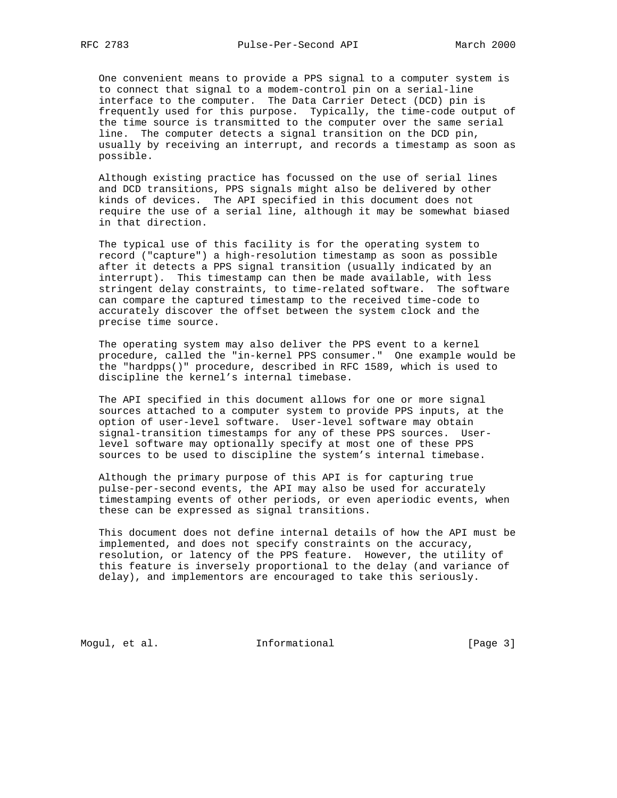One convenient means to provide a PPS signal to a computer system is to connect that signal to a modem-control pin on a serial-line interface to the computer. The Data Carrier Detect (DCD) pin is frequently used for this purpose. Typically, the time-code output of the time source is transmitted to the computer over the same serial line. The computer detects a signal transition on the DCD pin, usually by receiving an interrupt, and records a timestamp as soon as possible.

 Although existing practice has focussed on the use of serial lines and DCD transitions, PPS signals might also be delivered by other kinds of devices. The API specified in this document does not require the use of a serial line, although it may be somewhat biased in that direction.

 The typical use of this facility is for the operating system to record ("capture") a high-resolution timestamp as soon as possible after it detects a PPS signal transition (usually indicated by an interrupt). This timestamp can then be made available, with less stringent delay constraints, to time-related software. The software can compare the captured timestamp to the received time-code to accurately discover the offset between the system clock and the precise time source.

 The operating system may also deliver the PPS event to a kernel procedure, called the "in-kernel PPS consumer." One example would be the "hardpps()" procedure, described in RFC 1589, which is used to discipline the kernel's internal timebase.

 The API specified in this document allows for one or more signal sources attached to a computer system to provide PPS inputs, at the option of user-level software. User-level software may obtain signal-transition timestamps for any of these PPS sources. User level software may optionally specify at most one of these PPS sources to be used to discipline the system's internal timebase.

 Although the primary purpose of this API is for capturing true pulse-per-second events, the API may also be used for accurately timestamping events of other periods, or even aperiodic events, when these can be expressed as signal transitions.

 This document does not define internal details of how the API must be implemented, and does not specify constraints on the accuracy, resolution, or latency of the PPS feature. However, the utility of this feature is inversely proportional to the delay (and variance of delay), and implementors are encouraged to take this seriously.

Mogul, et al. 10 mm informational 100 mm informational [Page 3]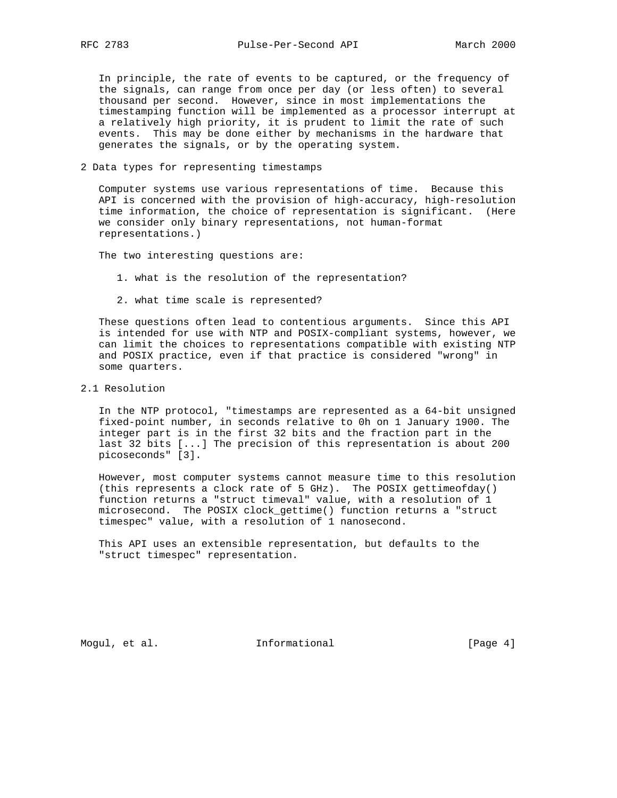In principle, the rate of events to be captured, or the frequency of the signals, can range from once per day (or less often) to several thousand per second. However, since in most implementations the timestamping function will be implemented as a processor interrupt at a relatively high priority, it is prudent to limit the rate of such events. This may be done either by mechanisms in the hardware that generates the signals, or by the operating system.

2 Data types for representing timestamps

 Computer systems use various representations of time. Because this API is concerned with the provision of high-accuracy, high-resolution time information, the choice of representation is significant. (Here we consider only binary representations, not human-format representations.)

The two interesting questions are:

- 1. what is the resolution of the representation?
- 2. what time scale is represented?

 These questions often lead to contentious arguments. Since this API is intended for use with NTP and POSIX-compliant systems, however, we can limit the choices to representations compatible with existing NTP and POSIX practice, even if that practice is considered "wrong" in some quarters.

2.1 Resolution

 In the NTP protocol, "timestamps are represented as a 64-bit unsigned fixed-point number, in seconds relative to 0h on 1 January 1900. The integer part is in the first 32 bits and the fraction part in the last 32 bits [...] The precision of this representation is about 200 picoseconds" [3].

 However, most computer systems cannot measure time to this resolution (this represents a clock rate of 5 GHz). The POSIX gettimeofday() function returns a "struct timeval" value, with a resolution of 1 microsecond. The POSIX clock\_gettime() function returns a "struct timespec" value, with a resolution of 1 nanosecond.

 This API uses an extensible representation, but defaults to the "struct timespec" representation.

Mogul, et al. 10 mm informational 100 mm informational [Page 4]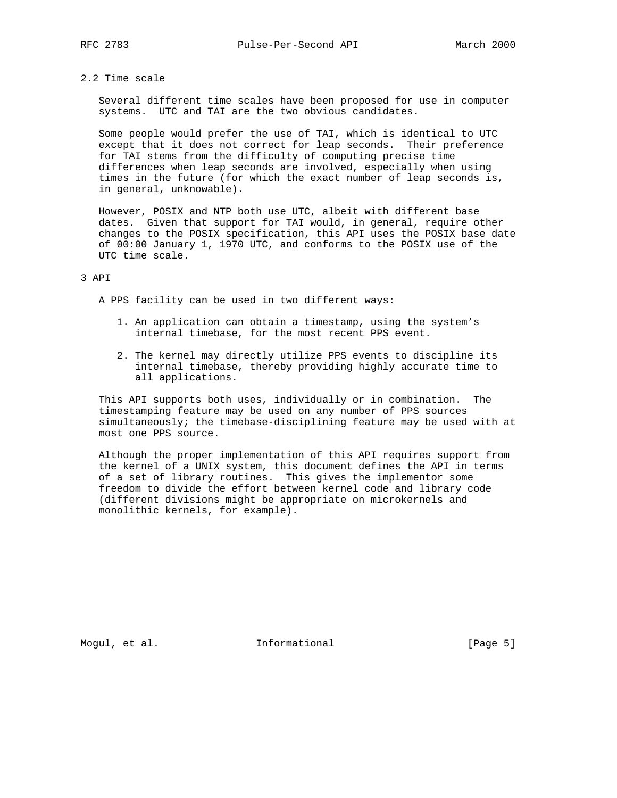# 2.2 Time scale

 Several different time scales have been proposed for use in computer systems. UTC and TAI are the two obvious candidates.

 Some people would prefer the use of TAI, which is identical to UTC except that it does not correct for leap seconds. Their preference for TAI stems from the difficulty of computing precise time differences when leap seconds are involved, especially when using times in the future (for which the exact number of leap seconds is, in general, unknowable).

 However, POSIX and NTP both use UTC, albeit with different base dates. Given that support for TAI would, in general, require other changes to the POSIX specification, this API uses the POSIX base date of 00:00 January 1, 1970 UTC, and conforms to the POSIX use of the UTC time scale.

## 3 API

A PPS facility can be used in two different ways:

- 1. An application can obtain a timestamp, using the system's internal timebase, for the most recent PPS event.
- 2. The kernel may directly utilize PPS events to discipline its internal timebase, thereby providing highly accurate time to all applications.

 This API supports both uses, individually or in combination. The timestamping feature may be used on any number of PPS sources simultaneously; the timebase-disciplining feature may be used with at most one PPS source.

 Although the proper implementation of this API requires support from the kernel of a UNIX system, this document defines the API in terms of a set of library routines. This gives the implementor some freedom to divide the effort between kernel code and library code (different divisions might be appropriate on microkernels and monolithic kernels, for example).

Mogul, et al. 10 mm informational 100 mm informational [Page 5]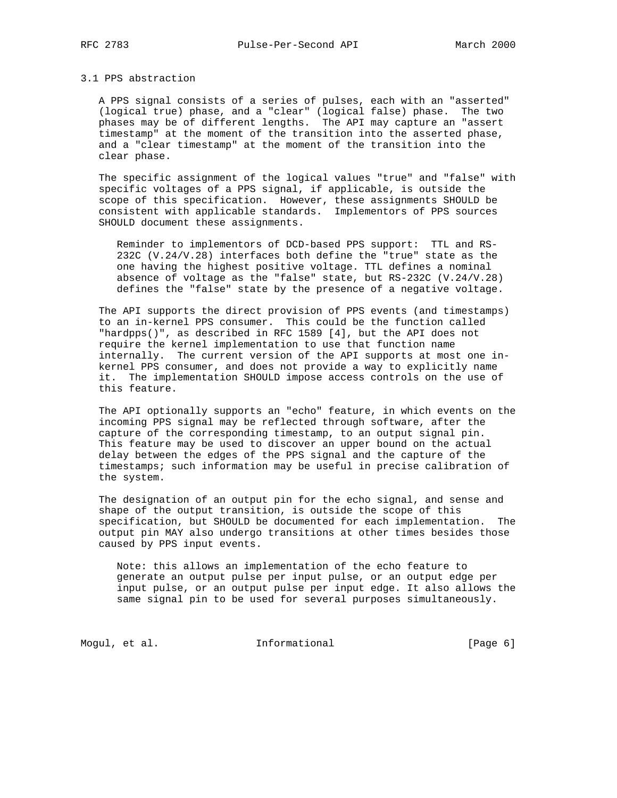### 3.1 PPS abstraction

 A PPS signal consists of a series of pulses, each with an "asserted" (logical true) phase, and a "clear" (logical false) phase. The two phases may be of different lengths. The API may capture an "assert timestamp" at the moment of the transition into the asserted phase, and a "clear timestamp" at the moment of the transition into the clear phase.

 The specific assignment of the logical values "true" and "false" with specific voltages of a PPS signal, if applicable, is outside the scope of this specification. However, these assignments SHOULD be consistent with applicable standards. Implementors of PPS sources SHOULD document these assignments.

 Reminder to implementors of DCD-based PPS support: TTL and RS- 232C (V.24/V.28) interfaces both define the "true" state as the one having the highest positive voltage. TTL defines a nominal absence of voltage as the "false" state, but RS-232C (V.24/V.28) defines the "false" state by the presence of a negative voltage.

 The API supports the direct provision of PPS events (and timestamps) to an in-kernel PPS consumer. This could be the function called "hardpps()", as described in RFC 1589 [4], but the API does not require the kernel implementation to use that function name internally. The current version of the API supports at most one in kernel PPS consumer, and does not provide a way to explicitly name it. The implementation SHOULD impose access controls on the use of this feature.

 The API optionally supports an "echo" feature, in which events on the incoming PPS signal may be reflected through software, after the capture of the corresponding timestamp, to an output signal pin. This feature may be used to discover an upper bound on the actual delay between the edges of the PPS signal and the capture of the timestamps; such information may be useful in precise calibration of the system.

 The designation of an output pin for the echo signal, and sense and shape of the output transition, is outside the scope of this specification, but SHOULD be documented for each implementation. The output pin MAY also undergo transitions at other times besides those caused by PPS input events.

 Note: this allows an implementation of the echo feature to generate an output pulse per input pulse, or an output edge per input pulse, or an output pulse per input edge. It also allows the same signal pin to be used for several purposes simultaneously.

Mogul, et al. 10 mm informational 11 mm informational [Page 6]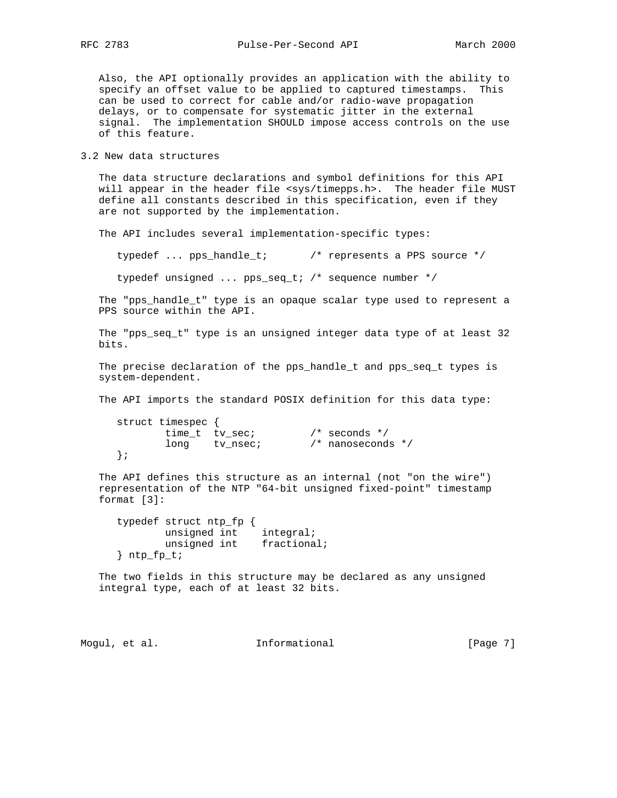Also, the API optionally provides an application with the ability to specify an offset value to be applied to captured timestamps. This can be used to correct for cable and/or radio-wave propagation delays, or to compensate for systematic jitter in the external signal. The implementation SHOULD impose access controls on the use of this feature.

3.2 New data structures

 The data structure declarations and symbol definitions for this API will appear in the header file <sys/timepps.h>. The header file MUST define all constants described in this specification, even if they are not supported by the implementation.

The API includes several implementation-specific types:

typedef ... pps\_handle\_t; /\* represents a PPS source \*/

typedef unsigned ... pps\_seq\_t; /\* sequence number \*/

 The "pps\_handle\_t" type is an opaque scalar type used to represent a PPS source within the API.

 The "pps\_seq\_t" type is an unsigned integer data type of at least 32 bits.

 The precise declaration of the pps\_handle\_t and pps\_seq\_t types is system-dependent.

The API imports the standard POSIX definition for this data type:

```
 struct timespec {
       time_t tv_sec; /* seconds */
       long tv_nsec; /* nanoseconds */
 };
```
 The API defines this structure as an internal (not "on the wire") representation of the NTP "64-bit unsigned fixed-point" timestamp format [3]:

 typedef struct ntp\_fp { unsigned int integral; unsigned int fractional;  ${}$  ntp\_fp\_t;

 The two fields in this structure may be declared as any unsigned integral type, each of at least 32 bits.

Mogul, et al.  $I_n$  Informational  $[Page 7]$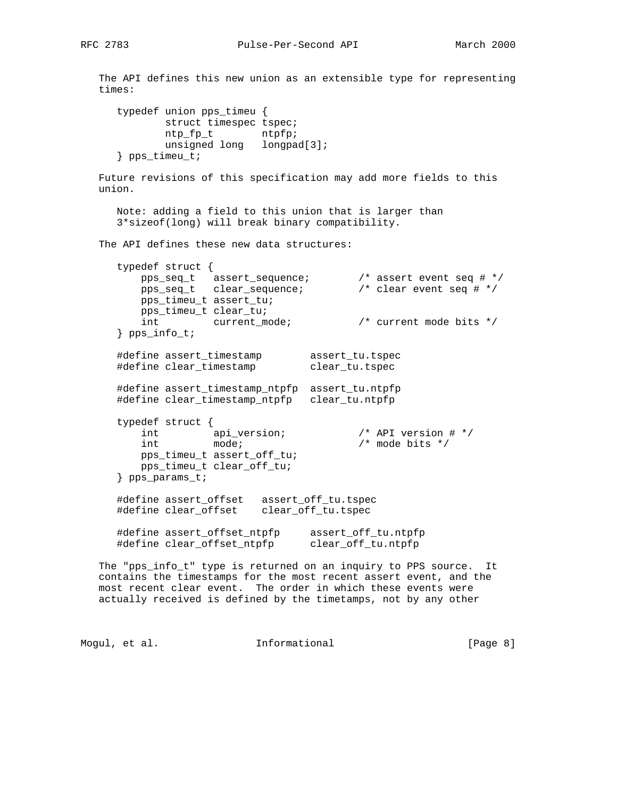The API defines this new union as an extensible type for representing times: typedef union pps\_timeu { struct timespec tspec; ntp\_fp\_t ntpfp; unsigned long longpad[3]; } pps\_timeu\_t; Future revisions of this specification may add more fields to this union. Note: adding a field to this union that is larger than 3\*sizeof(long) will break binary compatibility. The API defines these new data structures: typedef struct { pps\_seq\_t assert\_sequence; /\* assert event seq # \*/ pps\_seq\_t clear\_sequence; /\* clear event seq # \*/ pps\_timeu\_t assert\_tu; pps\_timeu\_t clear\_tu; int current\_mode; /\* current mode bits \*/ } pps\_info\_t; #define assert\_timestamp assert\_tu.tspec #define clear\_timestamp clear\_tu.tspec #define assert\_timestamp\_ntpfp assert\_tu.ntpfp #define clear\_timestamp\_ntpfp clear\_tu.ntpfp typedef struct { int api\_version; /\* API version # \*/ int mode;  $\sqrt{4}$  mode bits  $\sqrt{4}$  pps\_timeu\_t assert\_off\_tu; pps\_timeu\_t clear\_off\_tu; } pps\_params\_t; #define assert\_offset assert\_off\_tu.tspec #define clear\_offset clear\_off\_tu.tspec

 #define assert\_offset\_ntpfp assert\_off\_tu.ntpfp #define clear\_offset\_ntpfp clear\_off\_tu.ntpfp

 The "pps\_info\_t" type is returned on an inquiry to PPS source. It contains the timestamps for the most recent assert event, and the most recent clear event. The order in which these events were actually received is defined by the timetamps, not by any other

Mogul, et al. 10 mm informational 100 mm informational [Page 8]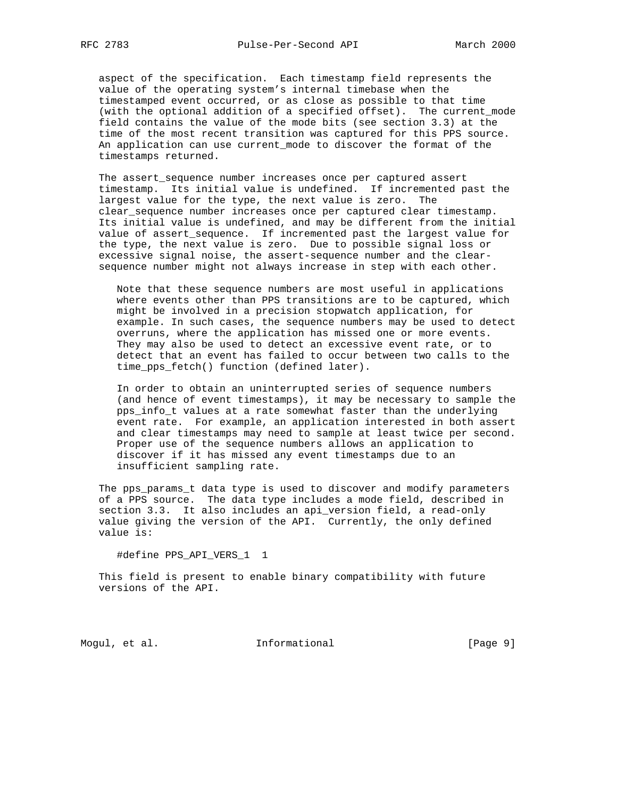aspect of the specification. Each timestamp field represents the value of the operating system's internal timebase when the timestamped event occurred, or as close as possible to that time (with the optional addition of a specified offset). The current\_mode field contains the value of the mode bits (see section 3.3) at the time of the most recent transition was captured for this PPS source. An application can use current\_mode to discover the format of the timestamps returned.

The assert sequence number increases once per captured assert timestamp. Its initial value is undefined. If incremented past the largest value for the type, the next value is zero. The clear\_sequence number increases once per captured clear timestamp. Its initial value is undefined, and may be different from the initial value of assert\_sequence. If incremented past the largest value for the type, the next value is zero. Due to possible signal loss or excessive signal noise, the assert-sequence number and the clear sequence number might not always increase in step with each other.

 Note that these sequence numbers are most useful in applications where events other than PPS transitions are to be captured, which might be involved in a precision stopwatch application, for example. In such cases, the sequence numbers may be used to detect overruns, where the application has missed one or more events. They may also be used to detect an excessive event rate, or to detect that an event has failed to occur between two calls to the time\_pps\_fetch() function (defined later).

 In order to obtain an uninterrupted series of sequence numbers (and hence of event timestamps), it may be necessary to sample the pps\_info\_t values at a rate somewhat faster than the underlying event rate. For example, an application interested in both assert and clear timestamps may need to sample at least twice per second. Proper use of the sequence numbers allows an application to discover if it has missed any event timestamps due to an insufficient sampling rate.

 The pps\_params\_t data type is used to discover and modify parameters of a PPS source. The data type includes a mode field, described in section 3.3. It also includes an api\_version field, a read-only value giving the version of the API. Currently, the only defined value is:

#define PPS\_API\_VERS\_1 1

 This field is present to enable binary compatibility with future versions of the API.

Mogul, et al. 10 mm informational 100 mm informational [Page 9]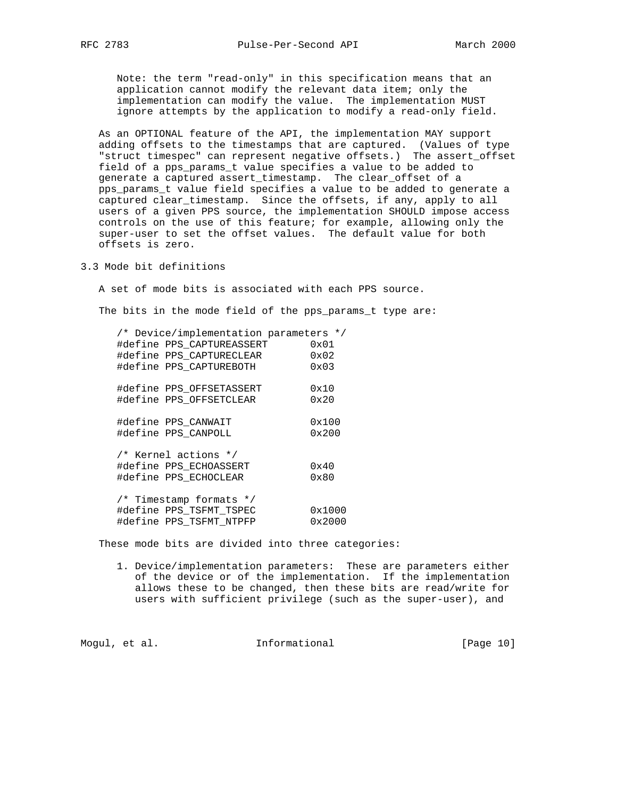Note: the term "read-only" in this specification means that an application cannot modify the relevant data item; only the implementation can modify the value. The implementation MUST ignore attempts by the application to modify a read-only field.

 As an OPTIONAL feature of the API, the implementation MAY support adding offsets to the timestamps that are captured. (Values of type "struct timespec" can represent negative offsets.) The assert\_offset field of a pps\_params\_t value specifies a value to be added to generate a captured assert\_timestamp. The clear\_offset of a pps\_params\_t value field specifies a value to be added to generate a captured clear\_timestamp. Since the offsets, if any, apply to all users of a given PPS source, the implementation SHOULD impose access controls on the use of this feature; for example, allowing only the super-user to set the offset values. The default value for both offsets is zero.

3.3 Mode bit definitions

A set of mode bits is associated with each PPS source.

The bits in the mode field of the pps\_params\_t type are:

| /* Device/implementation parameters */ |                |
|----------------------------------------|----------------|
| #define PPS CAPTUREASSERT              | 0x01           |
| #define PPS CAPTURECLEAR               | 0x02           |
| #define PPS CAPTUREBOTH                | $0 \times 03$  |
| #define PPS OFFSETASSERT               | 0x10           |
| #define PPS OFFSETCLEAR                | 0x20           |
| #define PPS_CANWAIT                    | 0x100          |
| #define PPS CANPOLL                    | $0 \times 200$ |
| /* Kernel actions */                   |                |
| #define PPS ECHOASSERT                 | 0x40           |
| #define PPS ECHOCLEAR                  | 0x80           |
| /* Timestamp formats */                |                |
| #define PPS TSFMT TSPEC                | 0x1000         |
| #define PPS TSFMT NTPFP                | 0x2000         |

These mode bits are divided into three categories:

 1. Device/implementation parameters: These are parameters either of the device or of the implementation. If the implementation allows these to be changed, then these bits are read/write for users with sufficient privilege (such as the super-user), and

Mogul, et al. 10 mm informational 10 mm informational [Page 10]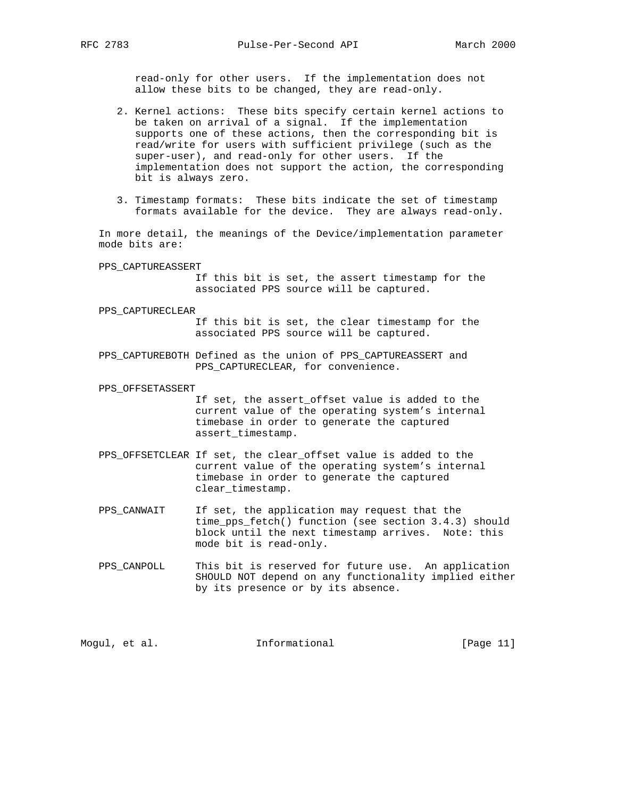read-only for other users. If the implementation does not allow these bits to be changed, they are read-only.

- 2. Kernel actions: These bits specify certain kernel actions to be taken on arrival of a signal. If the implementation supports one of these actions, then the corresponding bit is read/write for users with sufficient privilege (such as the super-user), and read-only for other users. If the implementation does not support the action, the corresponding bit is always zero.
- 3. Timestamp formats: These bits indicate the set of timestamp formats available for the device. They are always read-only.

 In more detail, the meanings of the Device/implementation parameter mode bits are:

PPS\_CAPTUREASSERT

 If this bit is set, the assert timestamp for the associated PPS source will be captured.

#### PPS\_CAPTURECLEAR

 If this bit is set, the clear timestamp for the associated PPS source will be captured.

 PPS\_CAPTUREBOTH Defined as the union of PPS\_CAPTUREASSERT and PPS\_CAPTURECLEAR, for convenience.

#### PPS\_OFFSETASSERT

- If set, the assert\_offset value is added to the current value of the operating system's internal timebase in order to generate the captured assert\_timestamp.
- PPS\_OFFSETCLEAR If set, the clear\_offset value is added to the current value of the operating system's internal timebase in order to generate the captured clear\_timestamp.
- PPS\_CANWAIT If set, the application may request that the time\_pps\_fetch() function (see section 3.4.3) should block until the next timestamp arrives. Note: this mode bit is read-only.
- PPS\_CANPOLL This bit is reserved for future use. An application SHOULD NOT depend on any functionality implied either by its presence or by its absence.

| [Page $11$ ]<br>Informational<br>Moqul, et al. |  |  |  |
|------------------------------------------------|--|--|--|
|------------------------------------------------|--|--|--|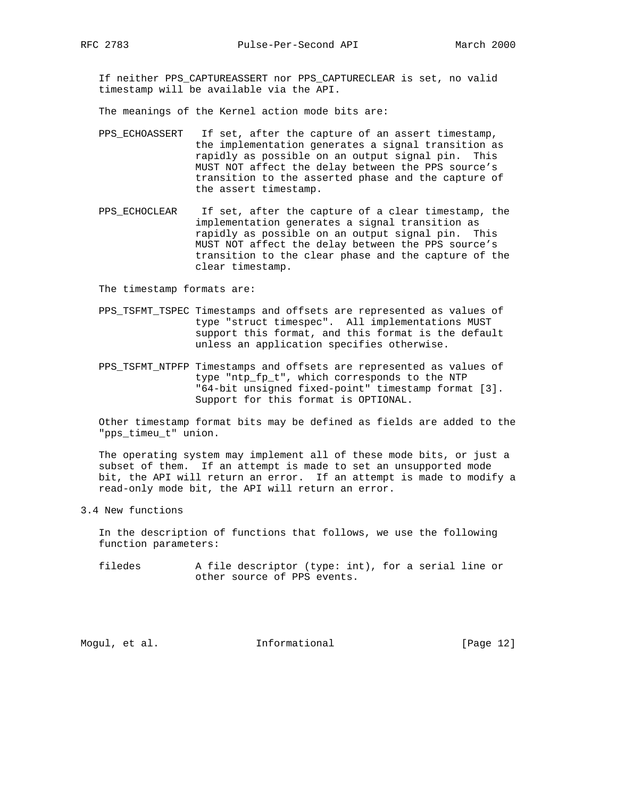If neither PPS\_CAPTUREASSERT nor PPS\_CAPTURECLEAR is set, no valid timestamp will be available via the API.

The meanings of the Kernel action mode bits are:

- PPS\_ECHOASSERT If set, after the capture of an assert timestamp, the implementation generates a signal transition as rapidly as possible on an output signal pin. This MUST NOT affect the delay between the PPS source's transition to the asserted phase and the capture of the assert timestamp.
- PPS\_ECHOCLEAR If set, after the capture of a clear timestamp, the implementation generates a signal transition as rapidly as possible on an output signal pin. This MUST NOT affect the delay between the PPS source's transition to the clear phase and the capture of the clear timestamp.

The timestamp formats are:

- PPS\_TSFMT\_TSPEC Timestamps and offsets are represented as values of type "struct timespec". All implementations MUST support this format, and this format is the default unless an application specifies otherwise.
- PPS\_TSFMT\_NTPFP Timestamps and offsets are represented as values of type "ntp\_fp\_t", which corresponds to the NTP "64-bit unsigned fixed-point" timestamp format [3]. Support for this format is OPTIONAL.

 Other timestamp format bits may be defined as fields are added to the "pps\_timeu\_t" union.

 The operating system may implement all of these mode bits, or just a subset of them. If an attempt is made to set an unsupported mode bit, the API will return an error. If an attempt is made to modify a read-only mode bit, the API will return an error.

3.4 New functions

 In the description of functions that follows, we use the following function parameters:

 filedes A file descriptor (type: int), for a serial line or other source of PPS events.

Mogul, et al. 10 mm informational 100 mm informational [Page 12]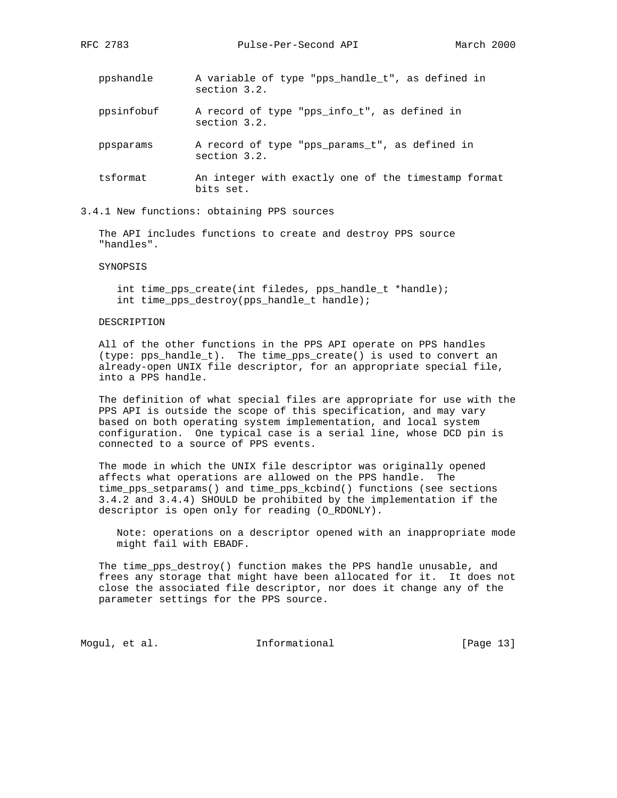- ppshandle A variable of type "pps\_handle\_t", as defined in section 3.2.
- ppsinfobuf A record of type "pps\_info\_t", as defined in section 3.2.
- ppsparams A record of type "pps\_params\_t", as defined in section 3.2.
- tsformat An integer with exactly one of the timestamp format bits set.
- 3.4.1 New functions: obtaining PPS sources

 The API includes functions to create and destroy PPS source "handles".

SYNOPSIS

 int time\_pps\_create(int filedes, pps\_handle\_t \*handle); int time\_pps\_destroy(pps\_handle\_t handle);

### DESCRIPTION

 All of the other functions in the PPS API operate on PPS handles (type: pps\_handle\_t). The time\_pps\_create() is used to convert an already-open UNIX file descriptor, for an appropriate special file, into a PPS handle.

 The definition of what special files are appropriate for use with the PPS API is outside the scope of this specification, and may vary based on both operating system implementation, and local system configuration. One typical case is a serial line, whose DCD pin is connected to a source of PPS events.

 The mode in which the UNIX file descriptor was originally opened affects what operations are allowed on the PPS handle. The time\_pps\_setparams() and time\_pps\_kcbind() functions (see sections 3.4.2 and 3.4.4) SHOULD be prohibited by the implementation if the descriptor is open only for reading (O\_RDONLY).

 Note: operations on a descriptor opened with an inappropriate mode might fail with EBADF.

 The time\_pps\_destroy() function makes the PPS handle unusable, and frees any storage that might have been allocated for it. It does not close the associated file descriptor, nor does it change any of the parameter settings for the PPS source.

Mogul, et al. 10. Informational 1. [Page 13]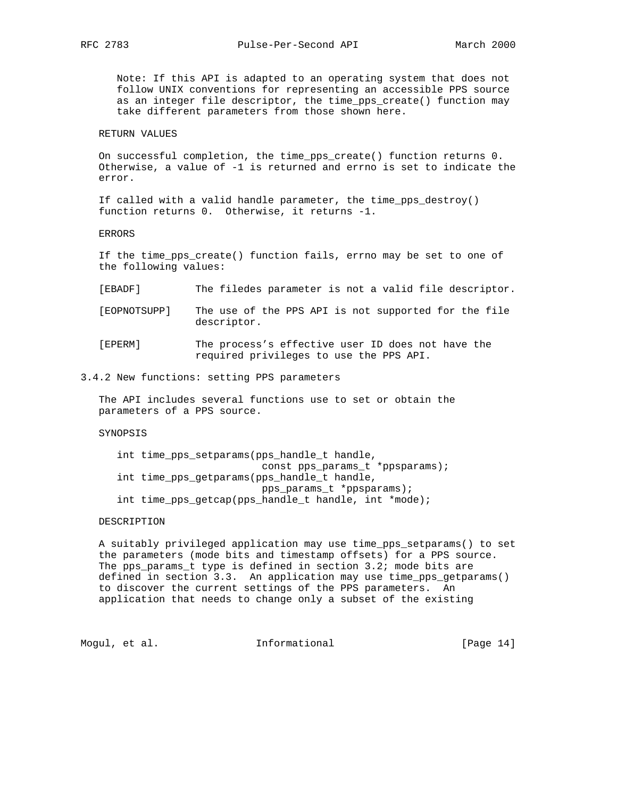Note: If this API is adapted to an operating system that does not follow UNIX conventions for representing an accessible PPS source as an integer file descriptor, the time\_pps\_create() function may take different parameters from those shown here.

### RETURN VALUES

 On successful completion, the time\_pps\_create() function returns 0. Otherwise, a value of -1 is returned and errno is set to indicate the error.

 If called with a valid handle parameter, the time\_pps\_destroy() function returns 0. Otherwise, it returns -1.

ERRORS

 If the time\_pps\_create() function fails, errno may be set to one of the following values:

[EBADF] The filedes parameter is not a valid file descriptor.

 [EOPNOTSUPP] The use of the PPS API is not supported for the file descriptor.

 [EPERM] The process's effective user ID does not have the required privileges to use the PPS API.

### 3.4.2 New functions: setting PPS parameters

 The API includes several functions use to set or obtain the parameters of a PPS source.

### SYNOPSIS

 int time\_pps\_setparams(pps\_handle\_t handle, const pps\_params\_t \*ppsparams); int time\_pps\_getparams(pps\_handle\_t handle, pps\_params\_t \*ppsparams); int time\_pps\_getcap(pps\_handle\_t handle, int \*mode);

### DESCRIPTION

 A suitably privileged application may use time\_pps\_setparams() to set the parameters (mode bits and timestamp offsets) for a PPS source. The pps\_params\_t type is defined in section 3.2; mode bits are defined in section 3.3. An application may use time\_pps\_getparams() to discover the current settings of the PPS parameters. An application that needs to change only a subset of the existing

Mogul, et al. **Informational** [Page 14]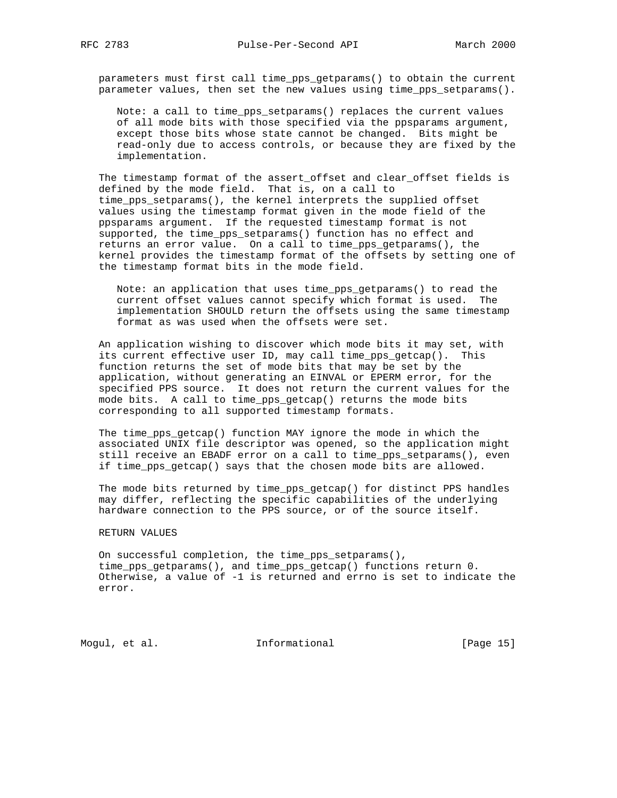parameters must first call time\_pps\_getparams() to obtain the current parameter values, then set the new values using time\_pps\_setparams().

 Note: a call to time\_pps\_setparams() replaces the current values of all mode bits with those specified via the ppsparams argument, except those bits whose state cannot be changed. Bits might be read-only due to access controls, or because they are fixed by the implementation.

The timestamp format of the assert offset and clear offset fields is defined by the mode field. That is, on a call to time\_pps\_setparams(), the kernel interprets the supplied offset values using the timestamp format given in the mode field of the ppsparams argument. If the requested timestamp format is not supported, the time\_pps\_setparams() function has no effect and returns an error value. On a call to time\_pps\_getparams(), the kernel provides the timestamp format of the offsets by setting one of the timestamp format bits in the mode field.

 Note: an application that uses time\_pps\_getparams() to read the current offset values cannot specify which format is used. The implementation SHOULD return the offsets using the same timestamp format as was used when the offsets were set.

 An application wishing to discover which mode bits it may set, with its current effective user ID, may call time\_pps\_getcap(). This function returns the set of mode bits that may be set by the application, without generating an EINVAL or EPERM error, for the specified PPS source. It does not return the current values for the mode bits. A call to time\_pps\_getcap() returns the mode bits corresponding to all supported timestamp formats.

 The time\_pps\_getcap() function MAY ignore the mode in which the associated UNIX file descriptor was opened, so the application might still receive an EBADF error on a call to time\_pps\_setparams(), even if time\_pps\_getcap() says that the chosen mode bits are allowed.

 The mode bits returned by time\_pps\_getcap() for distinct PPS handles may differ, reflecting the specific capabilities of the underlying hardware connection to the PPS source, or of the source itself.

### RETURN VALUES

 On successful completion, the time\_pps\_setparams(), time\_pps\_getparams(), and time\_pps\_getcap() functions return 0. Otherwise, a value of -1 is returned and errno is set to indicate the error.

Mogul, et al. 10. Informational 1. [Page 15]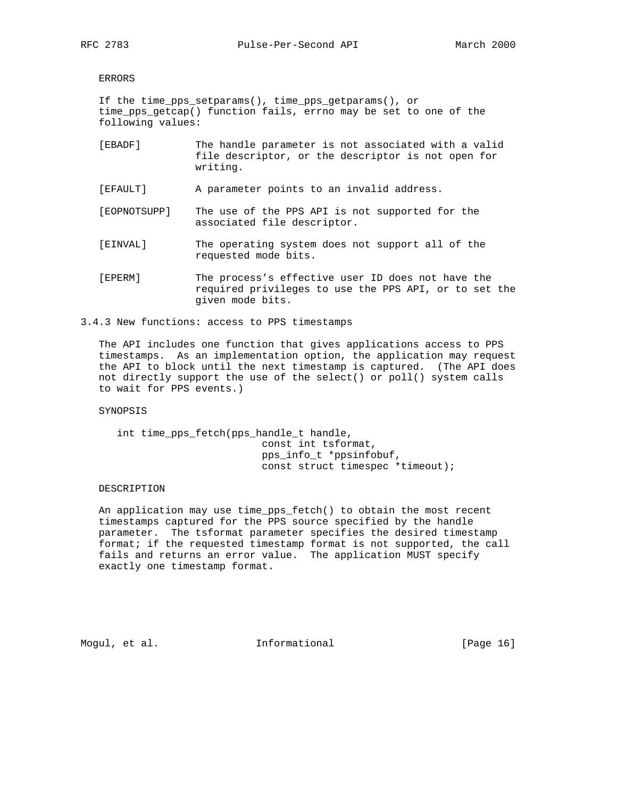ERRORS

 If the time\_pps\_setparams(), time\_pps\_getparams(), or time\_pps\_getcap() function fails, errno may be set to one of the following values:

- [EBADF] The handle parameter is not associated with a valid file descriptor, or the descriptor is not open for writing.
- [EFAULT] A parameter points to an invalid address.
- [EOPNOTSUPP] The use of the PPS API is not supported for the associated file descriptor.
- [EINVAL] The operating system does not support all of the requested mode bits.
- [EPERM] The process's effective user ID does not have the required privileges to use the PPS API, or to set the given mode bits.
- 3.4.3 New functions: access to PPS timestamps

 The API includes one function that gives applications access to PPS timestamps. As an implementation option, the application may request the API to block until the next timestamp is captured. (The API does not directly support the use of the select() or poll() system calls to wait for PPS events.)

SYNOPSIS

 int time\_pps\_fetch(pps\_handle\_t handle, const int tsformat, pps\_info\_t \*ppsinfobuf, const struct timespec \*timeout);

#### DESCRIPTION

 An application may use time\_pps\_fetch() to obtain the most recent timestamps captured for the PPS source specified by the handle parameter. The tsformat parameter specifies the desired timestamp format; if the requested timestamp format is not supported, the call fails and returns an error value. The application MUST specify exactly one timestamp format.

Mogul, et al. **Informational** [Page 16]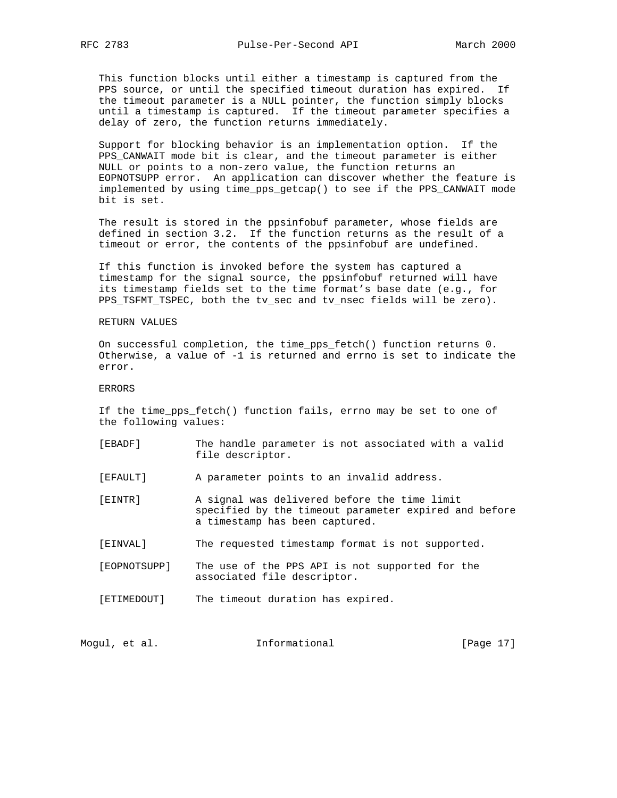This function blocks until either a timestamp is captured from the PPS source, or until the specified timeout duration has expired. If the timeout parameter is a NULL pointer, the function simply blocks until a timestamp is captured. If the timeout parameter specifies a delay of zero, the function returns immediately.

 Support for blocking behavior is an implementation option. If the PPS\_CANWAIT mode bit is clear, and the timeout parameter is either NULL or points to a non-zero value, the function returns an EOPNOTSUPP error. An application can discover whether the feature is implemented by using time\_pps\_getcap() to see if the PPS\_CANWAIT mode bit is set.

 The result is stored in the ppsinfobuf parameter, whose fields are defined in section 3.2. If the function returns as the result of a timeout or error, the contents of the ppsinfobuf are undefined.

 If this function is invoked before the system has captured a timestamp for the signal source, the ppsinfobuf returned will have its timestamp fields set to the time format's base date (e.g., for PPS\_TSFMT\_TSPEC, both the tv\_sec and tv\_nsec fields will be zero).

### RETURN VALUES

 On successful completion, the time\_pps\_fetch() function returns 0. Otherwise, a value of -1 is returned and errno is set to indicate the error.

ERRORS

 If the time\_pps\_fetch() function fails, errno may be set to one of the following values:

 [EBADF] The handle parameter is not associated with a valid file descriptor.

[EFAULT] A parameter points to an invalid address.

 [EINTR] A signal was delivered before the time limit specified by the timeout parameter expired and before a timestamp has been captured.

[EINVAL] The requested timestamp format is not supported.

- [EOPNOTSUPP] The use of the PPS API is not supported for the associated file descriptor.
- [ETIMEDOUT] The timeout duration has expired.

| Informational<br>Moqul, et al. | [Page 17] |
|--------------------------------|-----------|
|--------------------------------|-----------|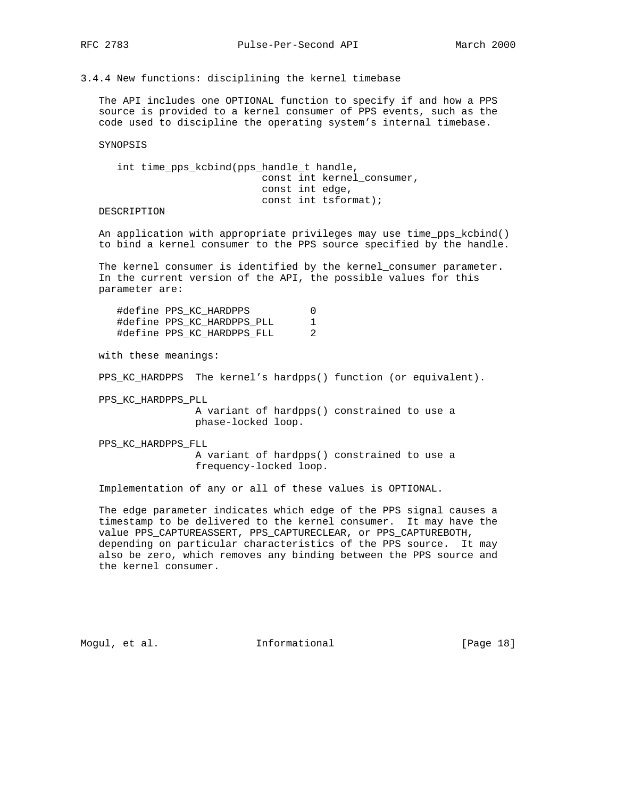3.4.4 New functions: disciplining the kernel timebase

 The API includes one OPTIONAL function to specify if and how a PPS source is provided to a kernel consumer of PPS events, such as the code used to discipline the operating system's internal timebase.

SYNOPSIS

 int time\_pps\_kcbind(pps\_handle\_t handle, const int kernel\_consumer, const int edge, const int tsformat);

# DESCRIPTION

 An application with appropriate privileges may use time\_pps\_kcbind() to bind a kernel consumer to the PPS source specified by the handle.

 The kernel consumer is identified by the kernel\_consumer parameter. In the current version of the API, the possible values for this parameter are:

| #define PPS KC HARDPPS     |   |
|----------------------------|---|
| #define PPS_KC_HARDPPS PLL |   |
| #define PPS KC HARDPPS FLL | 2 |

with these meanings:

PPS KC HARDPPS The kernel's hardpps() function (or equivalent).

PPS\_KC\_HARDPPS\_PLL

 A variant of hardpps() constrained to use a phase-locked loop.

 PPS\_KC\_HARDPPS\_FLL A variant of hardpps() constrained to use a frequency-locked loop.

Implementation of any or all of these values is OPTIONAL.

 The edge parameter indicates which edge of the PPS signal causes a timestamp to be delivered to the kernel consumer. It may have the value PPS\_CAPTUREASSERT, PPS\_CAPTURECLEAR, or PPS\_CAPTUREBOTH, depending on particular characteristics of the PPS source. It may also be zero, which removes any binding between the PPS source and the kernel consumer.

Mogul, et al. 10 mm informational 100 mm informational [Page 18]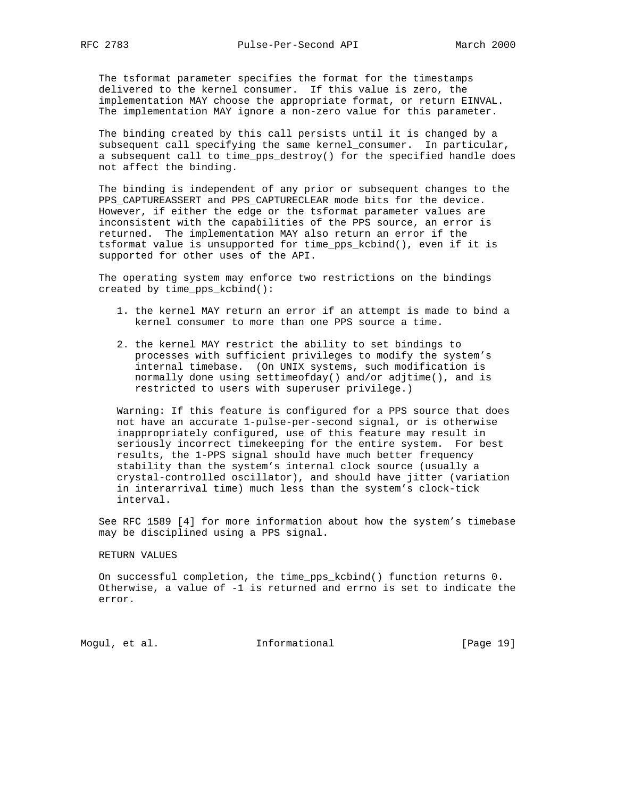The tsformat parameter specifies the format for the timestamps delivered to the kernel consumer. If this value is zero, the implementation MAY choose the appropriate format, or return EINVAL. The implementation MAY ignore a non-zero value for this parameter.

 The binding created by this call persists until it is changed by a subsequent call specifying the same kernel\_consumer. In particular, a subsequent call to time\_pps\_destroy() for the specified handle does not affect the binding.

 The binding is independent of any prior or subsequent changes to the PPS\_CAPTUREASSERT and PPS\_CAPTURECLEAR mode bits for the device. However, if either the edge or the tsformat parameter values are inconsistent with the capabilities of the PPS source, an error is returned. The implementation MAY also return an error if the tsformat value is unsupported for time\_pps\_kcbind(), even if it is supported for other uses of the API.

 The operating system may enforce two restrictions on the bindings created by time\_pps\_kcbind():

- 1. the kernel MAY return an error if an attempt is made to bind a kernel consumer to more than one PPS source a time.
- 2. the kernel MAY restrict the ability to set bindings to processes with sufficient privileges to modify the system's internal timebase. (On UNIX systems, such modification is normally done using settimeofday() and/or adjtime(), and is restricted to users with superuser privilege.)

 Warning: If this feature is configured for a PPS source that does not have an accurate 1-pulse-per-second signal, or is otherwise inappropriately configured, use of this feature may result in seriously incorrect timekeeping for the entire system. For best results, the 1-PPS signal should have much better frequency stability than the system's internal clock source (usually a crystal-controlled oscillator), and should have jitter (variation in interarrival time) much less than the system's clock-tick interval.

 See RFC 1589 [4] for more information about how the system's timebase may be disciplined using a PPS signal.

### RETURN VALUES

 On successful completion, the time\_pps\_kcbind() function returns 0. Otherwise, a value of -1 is returned and errno is set to indicate the error.

Mogul, et al. 10 mm informational 100 mm informational [Page 19]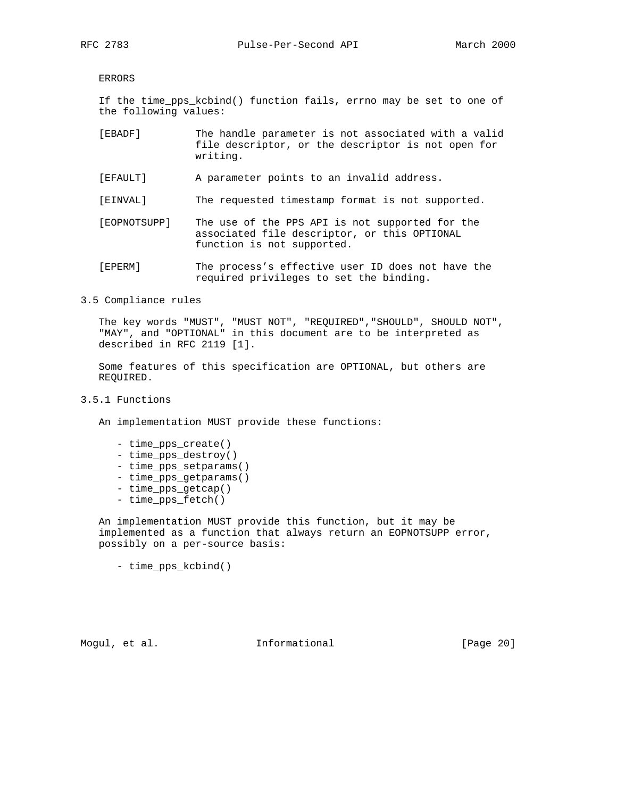ERRORS

 If the time\_pps\_kcbind() function fails, errno may be set to one of the following values:

- [EBADF] The handle parameter is not associated with a valid file descriptor, or the descriptor is not open for writing.
- [EFAULT] A parameter points to an invalid address.
- [EINVAL] The requested timestamp format is not supported.
- [EOPNOTSUPP] The use of the PPS API is not supported for the associated file descriptor, or this OPTIONAL function is not supported.
- [EPERM] The process's effective user ID does not have the required privileges to set the binding.

3.5 Compliance rules

 The key words "MUST", "MUST NOT", "REQUIRED","SHOULD", SHOULD NOT", "MAY", and "OPTIONAL" in this document are to be interpreted as described in RFC 2119 [1].

 Some features of this specification are OPTIONAL, but others are REQUIRED.

### 3.5.1 Functions

An implementation MUST provide these functions:

- time pps create()
- time\_pps\_destroy()
- time\_pps\_setparams()
- time\_pps\_getparams()
- time\_pps\_getcap()
- time\_pps\_fetch()

 An implementation MUST provide this function, but it may be implemented as a function that always return an EOPNOTSUPP error, possibly on a per-source basis:

- time\_pps\_kcbind()

Mogul, et al. **Informational** [Page 20]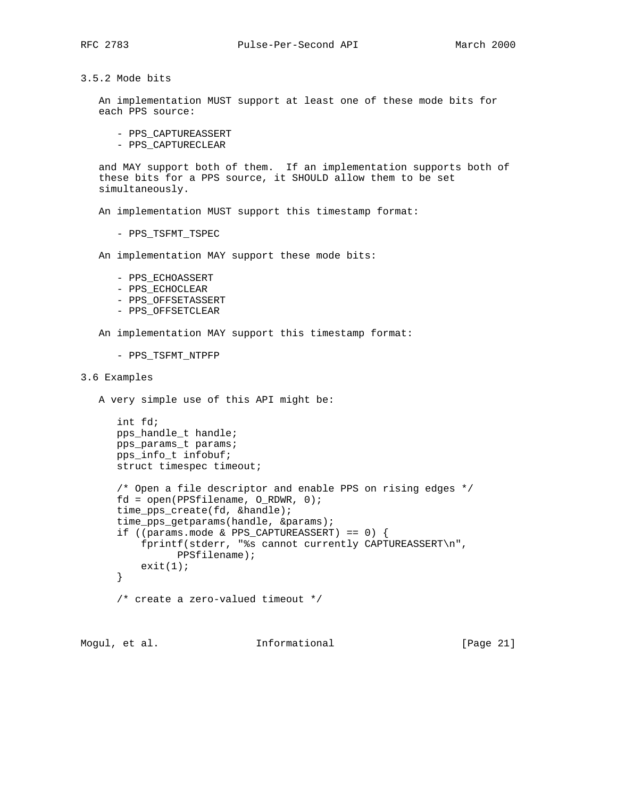3.5.2 Mode bits

 An implementation MUST support at least one of these mode bits for each PPS source:

- PPS\_CAPTUREASSERT
- PPS\_CAPTURECLEAR

 and MAY support both of them. If an implementation supports both of these bits for a PPS source, it SHOULD allow them to be set simultaneously.

An implementation MUST support this timestamp format:

- PPS\_TSFMT\_TSPEC

An implementation MAY support these mode bits:

- PPS\_ECHOASSERT
- PPS\_ECHOCLEAR
- PPS\_OFFSETASSERT
- PPS\_OFFSETCLEAR

An implementation MAY support this timestamp format:

```
 - PPS_TSFMT_NTPFP
```
3.6 Examples

A very simple use of this API might be:

```
 int fd;
 pps_handle_t handle;
 pps_params_t params;
 pps_info_t infobuf;
 struct timespec timeout;
 /* Open a file descriptor and enable PPS on rising edges */
fd = open(PPSfilename, O_RDWR, 0);time pps create(fd, &handle);
time_pps_getparams(handle, &params);
 if ((params.mode & PPS_CAPTUREASSERT) == 0) {
    fprintf(stderr, "%s cannot currently CAPTUREASSERT\n",
           PPSfilename);
    exit(1); }
 /* create a zero-valued timeout */
```
Mogul, et al. 10 mm informational 100 mm informational [Page 21]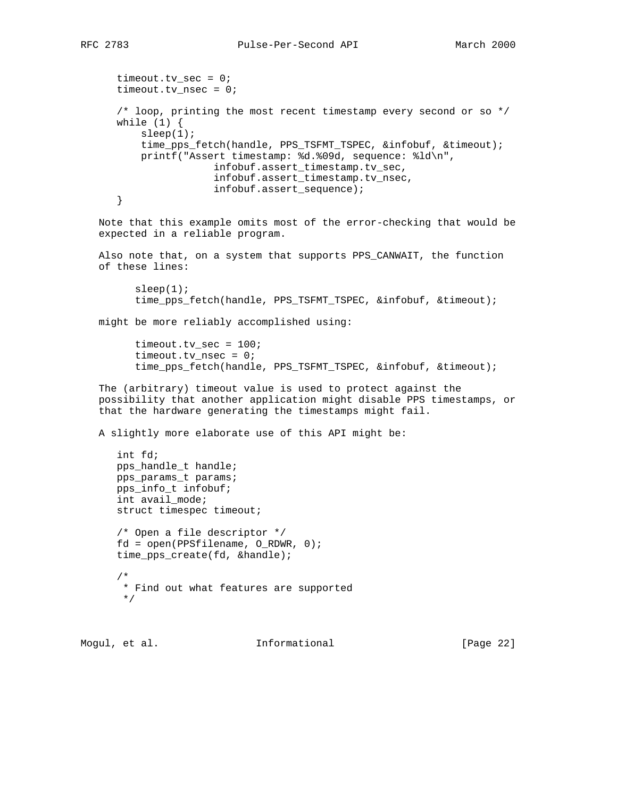```
timeout.tv_sec = 0;
    timeout.tv_nsec = 0;
    /* loop, printing the most recent timestamp every second or so */
   while (1) {
        sleep(1);
        time_pps_fetch(handle, PPS_TSFMT_TSPEC, &infobuf, &timeout);
        printf("Assert timestamp: %d.%09d, sequence: %ld\n",
                    infobuf.assert_timestamp.tv_sec,
                    infobuf.assert_timestamp.tv_nsec,
                    infobuf.assert_sequence);
    }
 Note that this example omits most of the error-checking that would be
 expected in a reliable program.
 Also note that, on a system that supports PPS_CANWAIT, the function
 of these lines:
      sleep(1); time_pps_fetch(handle, PPS_TSFMT_TSPEC, &infobuf, &timeout);
 might be more reliably accomplished using:
       timeout.tv_sec = 100;
       timeout.tv_nsec = 0;
       time_pps_fetch(handle, PPS_TSFMT_TSPEC, &infobuf, &timeout);
 The (arbitrary) timeout value is used to protect against the
 possibility that another application might disable PPS timestamps, or
 that the hardware generating the timestamps might fail.
 A slightly more elaborate use of this API might be:
    int fd;
    pps_handle_t handle;
    pps_params_t params;
    pps_info_t infobuf;
    int avail_mode;
    struct timespec timeout;
    /* Open a file descriptor */
    fd = open(PPSfilename, O_RDWR, 0);
    time_pps_create(fd, &handle);
    /*
     * Find out what features are supported
     */
```
Mogul, et al. 10 mm informational 100 mm informational [Page 22]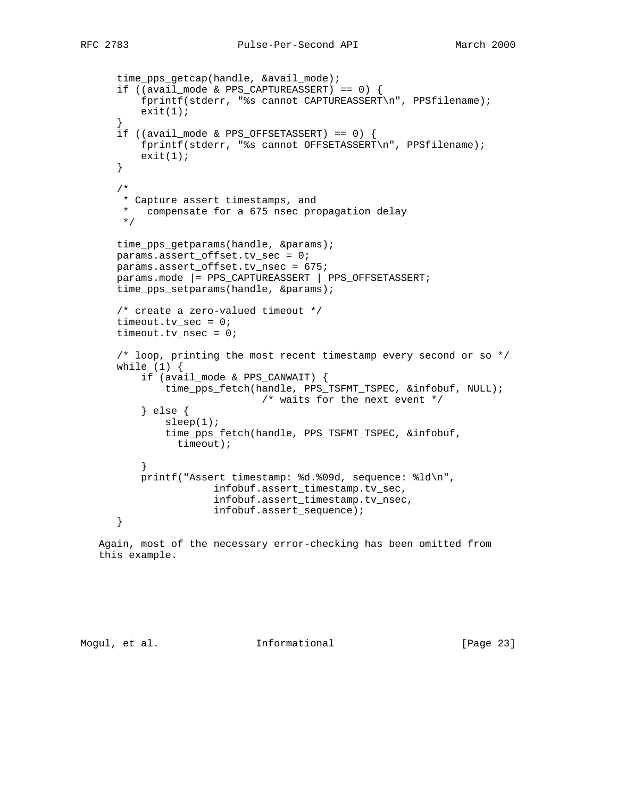```
 time_pps_getcap(handle, &avail_mode);
     if ((avail_mode & PPS_CAPTUREASSERT) == 0) {
           fprintf(stderr, "%s cannot CAPTUREASSERT\n", PPSfilename);
         exit(1); }
      if ((avail_mode & PPS_OFFSETASSERT) == 0) {
          fprintf(stderr, "%s cannot OFFSETASSERT\n", PPSfilename);
         exit(1); }
       /*
       * Capture assert timestamps, and
       * compensate for a 675 nsec propagation delay
       */
     time_pps_getparams(handle, &params);
      params.assert_offset.tv_sec = 0;
      params.assert_offset.tv_nsec = 675;
      params.mode |= PPS_CAPTUREASSERT | PPS_OFFSETASSERT;
     time_pps_setparams(handle, &params);
      /* create a zero-valued timeout */
     timeout.tv_sec = 0; timeout.tv_nsec = 0;
      /* loop, printing the most recent timestamp every second or so */
     while (1) {
          if (avail_mode & PPS_CANWAIT) {
               time_pps_fetch(handle, PPS_TSFMT_TSPEC, &infobuf, NULL);
                               /* waits for the next event */
           } else {
              sleep(1); time_pps_fetch(handle, PPS_TSFMT_TSPEC, &infobuf,
                 timeout);
 }
          printf("Assert timestamp: %d.%09d, sequence: %ld\n",
                       infobuf.assert_timestamp.tv_sec,
                       infobuf.assert_timestamp.tv_nsec,
                       infobuf.assert_sequence);
      }
   Again, most of the necessary error-checking has been omitted from
```
this example.

Mogul, et al. 10 mm informational 100 mm informational [Page 23]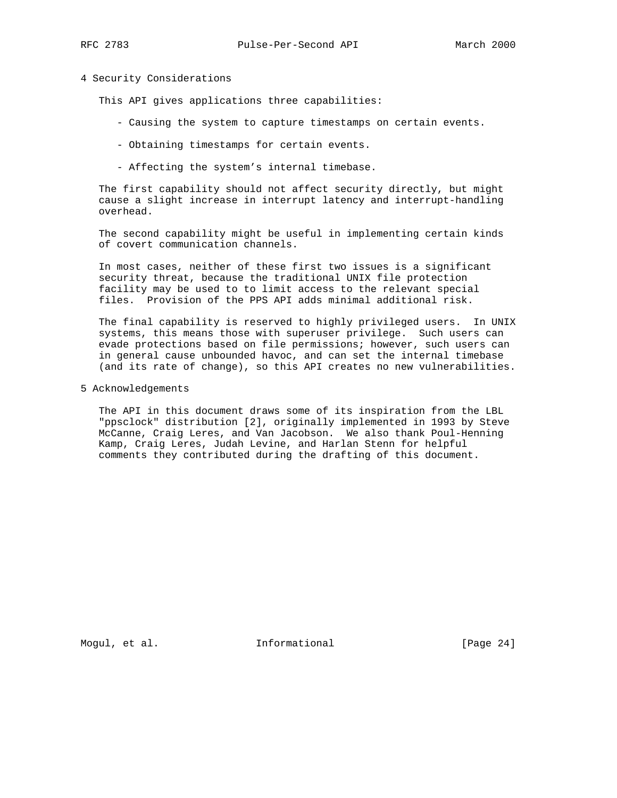### 4 Security Considerations

This API gives applications three capabilities:

- Causing the system to capture timestamps on certain events.
- Obtaining timestamps for certain events.
- Affecting the system's internal timebase.

 The first capability should not affect security directly, but might cause a slight increase in interrupt latency and interrupt-handling overhead.

 The second capability might be useful in implementing certain kinds of covert communication channels.

 In most cases, neither of these first two issues is a significant security threat, because the traditional UNIX file protection facility may be used to to limit access to the relevant special files. Provision of the PPS API adds minimal additional risk.

 The final capability is reserved to highly privileged users. In UNIX systems, this means those with superuser privilege. Such users can evade protections based on file permissions; however, such users can in general cause unbounded havoc, and can set the internal timebase (and its rate of change), so this API creates no new vulnerabilities.

5 Acknowledgements

 The API in this document draws some of its inspiration from the LBL "ppsclock" distribution [2], originally implemented in 1993 by Steve McCanne, Craig Leres, and Van Jacobson. We also thank Poul-Henning Kamp, Craig Leres, Judah Levine, and Harlan Stenn for helpful comments they contributed during the drafting of this document.

Mogul, et al. 10 mm informational 100 mm informational [Page 24]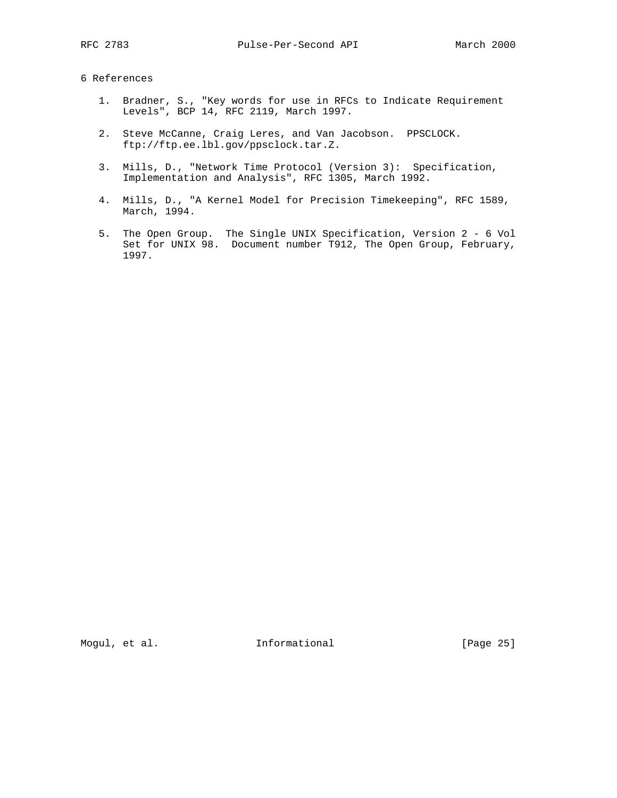# 6 References

- 1. Bradner, S., "Key words for use in RFCs to Indicate Requirement Levels", BCP 14, RFC 2119, March 1997.
- 2. Steve McCanne, Craig Leres, and Van Jacobson. PPSCLOCK. ftp://ftp.ee.lbl.gov/ppsclock.tar.Z.
- 3. Mills, D., "Network Time Protocol (Version 3): Specification, Implementation and Analysis", RFC 1305, March 1992.
- 4. Mills, D., "A Kernel Model for Precision Timekeeping", RFC 1589, March, 1994.
- 5. The Open Group. The Single UNIX Specification, Version 2 6 Vol Set for UNIX 98. Document number T912, The Open Group, February, 1997.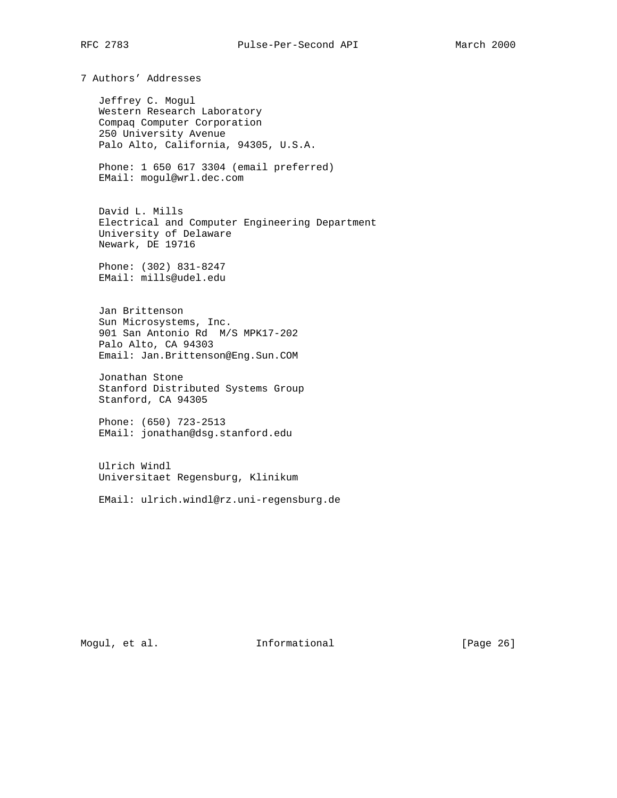7 Authors' Addresses

 Jeffrey C. Mogul Western Research Laboratory Compaq Computer Corporation 250 University Avenue Palo Alto, California, 94305, U.S.A.

 Phone: 1 650 617 3304 (email preferred) EMail: mogul@wrl.dec.com

 David L. Mills Electrical and Computer Engineering Department University of Delaware Newark, DE 19716

 Phone: (302) 831-8247 EMail: mills@udel.edu

 Jan Brittenson Sun Microsystems, Inc. 901 San Antonio Rd M/S MPK17-202 Palo Alto, CA 94303 Email: Jan.Brittenson@Eng.Sun.COM

 Jonathan Stone Stanford Distributed Systems Group Stanford, CA 94305

 Phone: (650) 723-2513 EMail: jonathan@dsg.stanford.edu

 Ulrich Windl Universitaet Regensburg, Klinikum

EMail: ulrich.windl@rz.uni-regensburg.de

Mogul, et al. 10 mm informational 100 mm informational [Page 26]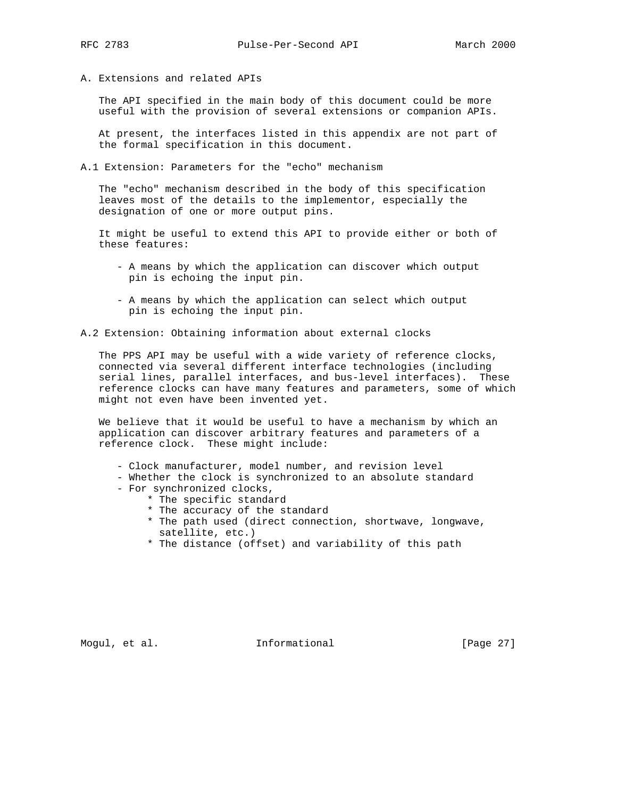A. Extensions and related APIs

 The API specified in the main body of this document could be more useful with the provision of several extensions or companion APIs.

 At present, the interfaces listed in this appendix are not part of the formal specification in this document.

A.1 Extension: Parameters for the "echo" mechanism

 The "echo" mechanism described in the body of this specification leaves most of the details to the implementor, especially the designation of one or more output pins.

 It might be useful to extend this API to provide either or both of these features:

- A means by which the application can discover which output pin is echoing the input pin.
- A means by which the application can select which output pin is echoing the input pin.

A.2 Extension: Obtaining information about external clocks

 The PPS API may be useful with a wide variety of reference clocks, connected via several different interface technologies (including serial lines, parallel interfaces, and bus-level interfaces). These reference clocks can have many features and parameters, some of which might not even have been invented yet.

 We believe that it would be useful to have a mechanism by which an application can discover arbitrary features and parameters of a reference clock. These might include:

- Clock manufacturer, model number, and revision level
- Whether the clock is synchronized to an absolute standard
- For synchronized clocks,
	- \* The specific standard
	- \* The accuracy of the standard
	- \* The path used (direct connection, shortwave, longwave, satellite, etc.)
	- \* The distance (offset) and variability of this path

Mogul, et al. 10 mm informational 100 mm informational [Page 27]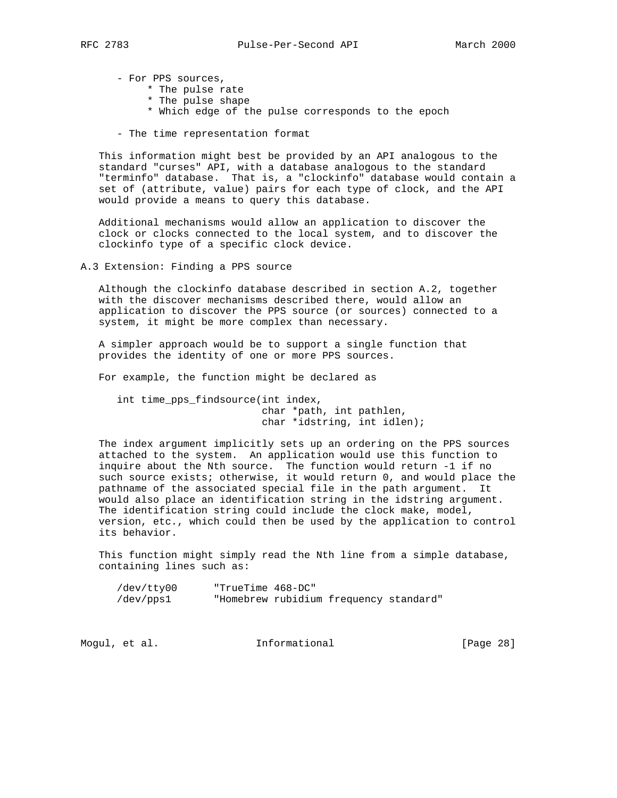- For PPS sources,

\* The pulse rate

- \* The pulse shape
- \* Which edge of the pulse corresponds to the epoch
- The time representation format

 This information might best be provided by an API analogous to the standard "curses" API, with a database analogous to the standard "terminfo" database. That is, a "clockinfo" database would contain a set of (attribute, value) pairs for each type of clock, and the API would provide a means to query this database.

 Additional mechanisms would allow an application to discover the clock or clocks connected to the local system, and to discover the clockinfo type of a specific clock device.

A.3 Extension: Finding a PPS source

 Although the clockinfo database described in section A.2, together with the discover mechanisms described there, would allow an application to discover the PPS source (or sources) connected to a system, it might be more complex than necessary.

 A simpler approach would be to support a single function that provides the identity of one or more PPS sources.

For example, the function might be declared as

 int time\_pps\_findsource(int index, char \*path, int pathlen, char \*idstring, int idlen);

 The index argument implicitly sets up an ordering on the PPS sources attached to the system. An application would use this function to inquire about the Nth source. The function would return -1 if no such source exists; otherwise, it would return 0, and would place the pathname of the associated special file in the path argument. It would also place an identification string in the idstring argument. The identification string could include the clock make, model, version, etc., which could then be used by the application to control its behavior.

 This function might simply read the Nth line from a simple database, containing lines such as:

| /dev/tty00 | "TrueTime 468-DC" |                                        |  |
|------------|-------------------|----------------------------------------|--|
| /dev/pps1  |                   | "Homebrew rubidium frequency standard" |  |

| Informational<br>Moqul, et al. | [Page 28] |
|--------------------------------|-----------|
|--------------------------------|-----------|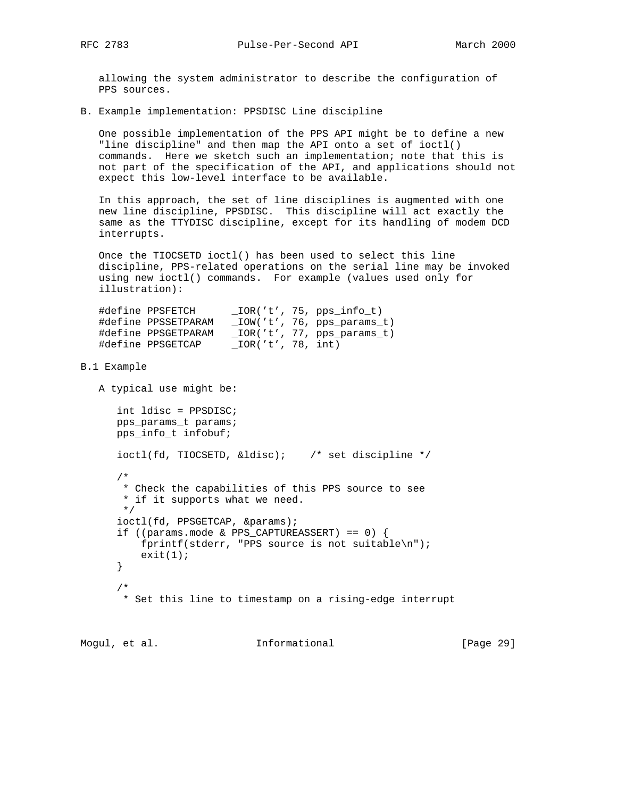allowing the system administrator to describe the configuration of PPS sources.

B. Example implementation: PPSDISC Line discipline

 One possible implementation of the PPS API might be to define a new "line discipline" and then map the API onto a set of ioctl() commands. Here we sketch such an implementation; note that this is not part of the specification of the API, and applications should not expect this low-level interface to be available.

 In this approach, the set of line disciplines is augmented with one new line discipline, PPSDISC. This discipline will act exactly the same as the TTYDISC discipline, except for its handling of modem DCD interrupts.

 Once the TIOCSETD ioctl() has been used to select this line discipline, PPS-related operations on the serial line may be invoked using new ioctl() commands. For example (values used only for illustration):

| #define PPSFETCH    |                   | IOR('t', 75, pps info t)   |
|---------------------|-------------------|----------------------------|
| #define PPSSETPARAM |                   | IOW('t', 76, pps params t) |
| #define PPSGETPARAM |                   | IOR('t', 77, pps params t) |
| #define PPSGETCAP   | IOR('t', 78, int) |                            |

#### B.1 Example

A typical use might be:

```
 int ldisc = PPSDISC;
      pps_params_t params;
      pps_info_t infobuf;
      ioctl(fd, TIOCSETD, &ldisc); /* set discipline */
       /*
       * Check the capabilities of this PPS source to see
       * if it supports what we need.
       */
     ioctl(fd, PPSGETCAP, &params);
      if ((params.mode & PPS_CAPTUREASSERT) == 0) {
          fprintf(stderr, "PPS source is not suitable\n");
         exit(1); }
 /*
       * Set this line to timestamp on a rising-edge interrupt
```
Mogul, et al. **Informational** [Page 29]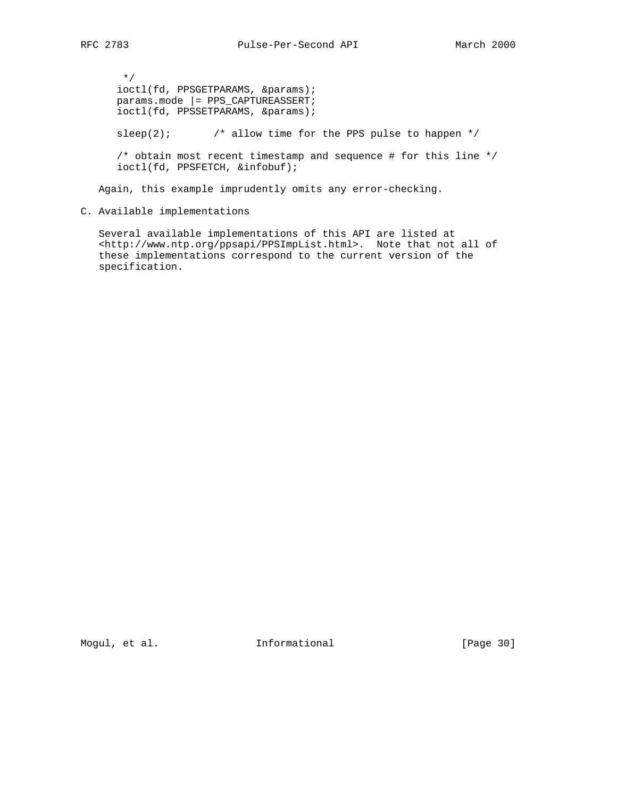\*/ ioctl(fd, PPSGETPARAMS, &params); params.mode |= PPS\_CAPTUREASSERT; ioctl(fd, PPSSETPARAMS, &params); sleep(2);  $\frac{1}{2}$  /\* allow time for the PPS pulse to happen \*/  $\gamma^*$  obtain most recent timestamp and sequence # for this line  $\gamma$ ioctl(fd, PPSFETCH, &infobuf);

Again, this example imprudently omits any error-checking.

C. Available implementations

 Several available implementations of this API are listed at <http://www.ntp.org/ppsapi/PPSImpList.html>. Note that not all of these implementations correspond to the current version of the specification.